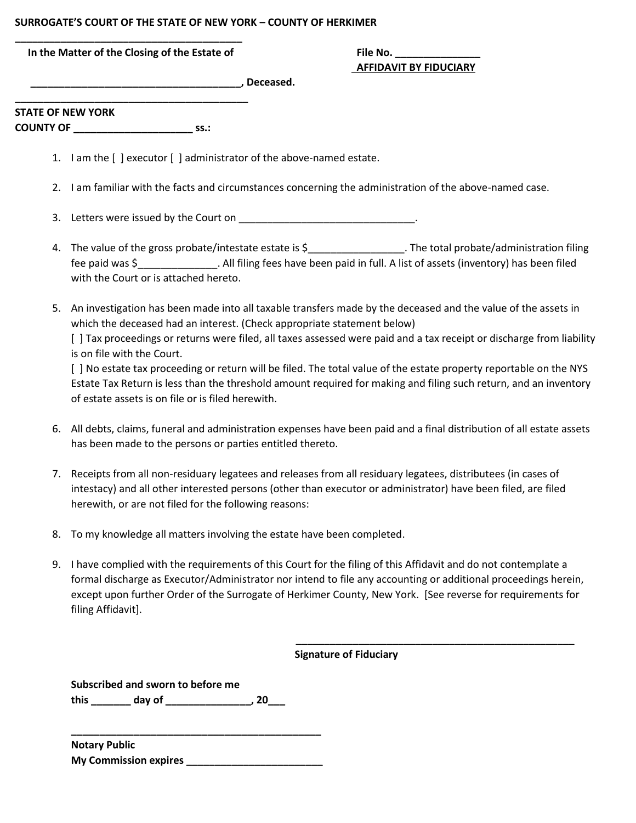## **SURROGATE'S COURT OF THE STATE OF NEW YORK – COUNTY OF HERKIMER**

| In the Matter of the Closing of the Estate of | File No. |
|-----------------------------------------------|----------|

## **AFFIDAVIT BY FIDUCIARY**

 $\blacksquare$  . Deceased.

**\_\_\_\_\_\_\_\_\_\_\_\_\_\_\_\_\_\_\_\_\_\_\_\_\_\_\_\_\_\_\_\_\_\_\_\_\_\_\_\_\_ STATE OF NEW YORK COUNTY OF \_\_\_\_\_\_\_\_\_\_\_\_\_\_\_\_\_\_\_\_\_ ss.:**

- 1. I am the [ ] executor [ ] administrator of the above-named estate.
- 2. I am familiar with the facts and circumstances concerning the administration of the above-named case.
- 3. Letters were issued by the Court on  $\blacksquare$
- 4. The value of the gross probate/intestate estate is \$\_\_\_\_\_\_\_\_\_\_\_\_\_\_\_\_\_\_\_. The total probate/administration filing fee paid was \$ . All filing fees have been paid in full. A list of assets (inventory) has been filed with the Court or is attached hereto.
- 5. An investigation has been made into all taxable transfers made by the deceased and the value of the assets in which the deceased had an interest. (Check appropriate statement below)

[ ] Tax proceedings or returns were filed, all taxes assessed were paid and a tax receipt or discharge from liability is on file with the Court.

[ ] No estate tax proceeding or return will be filed. The total value of the estate property reportable on the NYS Estate Tax Return is less than the threshold amount required for making and filing such return, and an inventory of estate assets is on file or is filed herewith.

- 6. All debts, claims, funeral and administration expenses have been paid and a final distribution of all estate assets has been made to the persons or parties entitled thereto.
- 7. Receipts from all non-residuary legatees and releases from all residuary legatees, distributees (in cases of intestacy) and all other interested persons (other than executor or administrator) have been filed, are filed herewith, or are not filed for the following reasons:
- 8. To my knowledge all matters involving the estate have been completed.
- 9. I have complied with the requirements of this Court for the filing of this Affidavit and do not contemplate a formal discharge as Executor/Administrator nor intend to file any accounting or additional proceedings herein, except upon further Order of the Surrogate of Herkimer County, New York. [See reverse for requirements for filing Affidavit].

 **\_\_\_\_\_\_\_\_\_\_\_\_\_\_\_\_\_\_\_\_\_\_\_\_\_\_\_\_\_\_\_\_\_\_\_\_\_\_\_\_\_\_\_\_\_\_\_\_\_** 

 **Signature of Fiduciary**

**Subscribed and sworn to before me**

**this \_\_\_\_\_\_\_ day of \_\_\_\_\_\_\_\_\_\_\_\_\_\_\_, 20\_\_\_**

**\_\_\_\_\_\_\_\_\_\_\_\_\_\_\_\_\_\_\_\_\_\_\_\_\_\_\_\_\_\_\_\_\_\_\_\_\_\_\_\_\_\_\_\_ Notary Public My Commission expires \_\_\_\_\_\_\_\_\_\_\_\_\_\_\_\_\_\_\_\_\_\_\_\_**